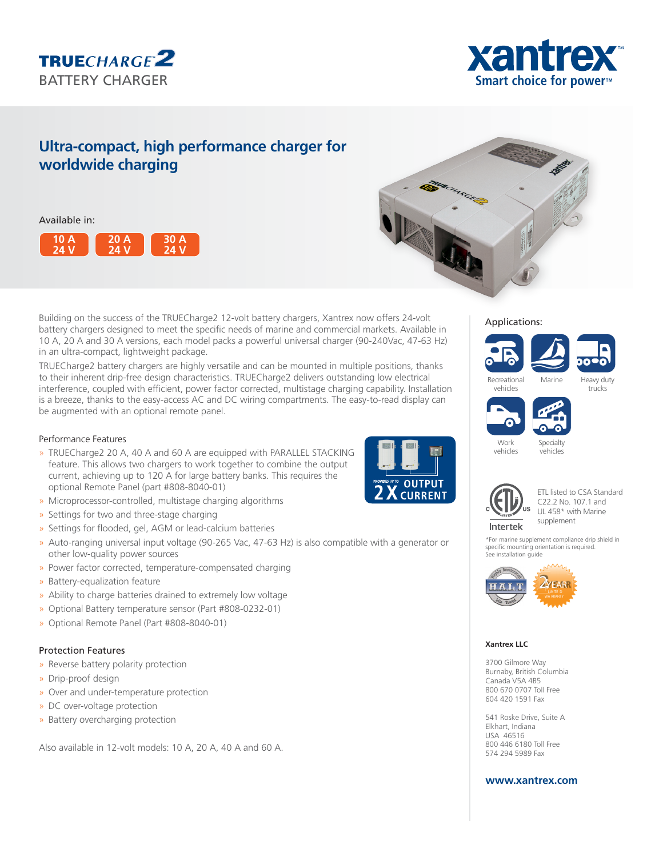



# **Ultra-compact, high performance charger for worldwide charging**

# Available in:





Building on the success of the TRUECharge2 12-volt battery chargers, Xantrex now offers 24-volt battery chargers designed to meet the specific needs of marine and commercial markets. Available in 10 A, 20 A and 30 A versions, each model packs a powerful universal charger (90-240Vac, 47-63 Hz) in an ultra-compact, lightweight package.

TRUECharge2 battery chargers are highly versatile and can be mounted in multiple positions, thanks to their inherent drip-free design characteristics. TRUECharge2 delivers outstanding low electrical interference, coupled with efficient, power factor corrected, multistage charging capability. Installation is a breeze, thanks to the easy-access AC and DC wiring compartments. The easy-to-read display can be augmented with an optional remote panel.

# Performance Features

- » TRUECharge2 20 A, 40 A and 60 A are equipped with PARALLEL STACKING feature. This allows two chargers to work together to combine the output current, achieving up to 120 A for large battery banks. This requires the optional Remote Panel (part #808-8040-01)
- » Microprocessor-controlled, multistage charging algorithms
- » Settings for two and three-stage charging
- » Settings for flooded, gel, AGM or lead-calcium batteries
- » Auto-ranging universal input voltage (90-265 Vac, 47-63 Hz) is also compatible with a generator or other low-quality power sources
- » Power factor corrected, temperature-compensated charging
- » Battery-equalization feature
- » Ability to charge batteries drained to extremely low voltage
- » Optional Battery temperature sensor (Part #808-0232-01)
- » Optional Remote Panel (Part #808-8040-01)

### Protection Features

- » Reverse battery polarity protection
- » Drip-proof design
- » Over and under-temperature protection
- » DC over-voltage protection
- » Battery overcharging protection

Also available in 12-volt models: 10 A, 20 A, 40 A and 60 A.



# Applications:





**Specialty** vehicles



vehicles



\*For marine supplement compliance drip shield in specific mounting orientation is required. See installation guide



#### **Xantrex LLC**

3700 Gilmore Way Burnaby, British Columbia Canada V5A 4B5 800 670 0707 Toll Free 604 420 1591 Fax

541 Roske Drive, Suite A Elkhart, Indiana USA 46516 800 446 6180 Toll Free 574 294 5989 Fax

# **www.xantrex.com**